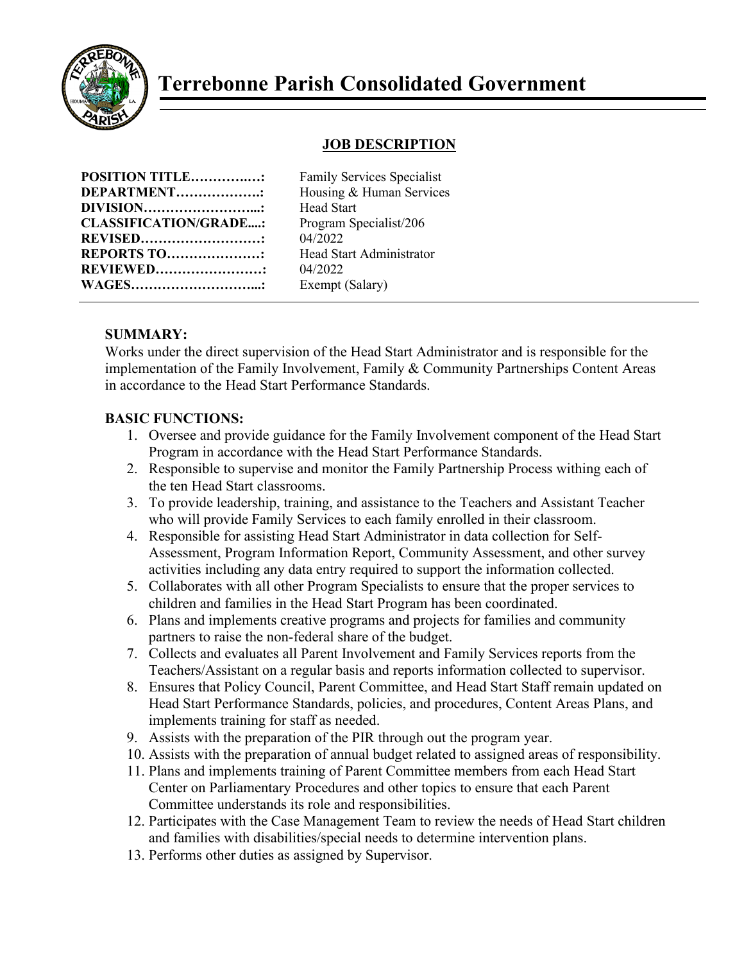

# **Terrebonne Parish Consolidated Government**

# **JOB DESCRIPTION**

| <b>POSITION TITLE:</b>       |  |
|------------------------------|--|
| <b>DEPARTMENT::</b>          |  |
| <b>DIVISION</b>              |  |
| <b>CLASSIFICATION/GRADE:</b> |  |
| <b>REVISED</b> :             |  |
| <b>REPORTS TO:</b>           |  |
| <b>REVIEWED</b>              |  |
| <b>WAGES</b> :               |  |

**Family Services Specialist** Housing & Human Services **Head Start** Program Specialist/206 **REVISED………………………:** 04/2022 **Head Start Administrator** 04/2022 Exempt (Salary)

### **SUMMARY:**

Works under the direct supervision of the Head Start Administrator and is responsible for the implementation of the Family Involvement, Family & Community Partnerships Content Areas in accordance to the Head Start Performance Standards.

## **BASIC FUNCTIONS:**

- 1. Oversee and provide guidance for the Family Involvement component of the Head Start Program in accordance with the Head Start Performance Standards.
- 2. Responsible to supervise and monitor the Family Partnership Process withing each of the ten Head Start classrooms.
- 3. To provide leadership, training, and assistance to the Teachers and Assistant Teacher who will provide Family Services to each family enrolled in their classroom.
- 4. Responsible for assisting Head Start Administrator in data collection for Self-Assessment, Program Information Report, Community Assessment, and other survey activities including any data entry required to support the information collected.
- 5. Collaborates with all other Program Specialists to ensure that the proper services to children and families in the Head Start Program has been coordinated.
- 6. Plans and implements creative programs and projects for families and community partners to raise the non-federal share of the budget.
- 7. Collects and evaluates all Parent Involvement and Family Services reports from the Teachers/Assistant on a regular basis and reports information collected to supervisor.
- 8. Ensures that Policy Council, Parent Committee, and Head Start Staff remain updated on Head Start Performance Standards, policies, and procedures, Content Areas Plans, and implements training for staff as needed.
- 9. Assists with the preparation of the PIR through out the program year.
- 10. Assists with the preparation of annual budget related to assigned areas of responsibility.
- 11. Plans and implements training of Parent Committee members from each Head Start Center on Parliamentary Procedures and other topics to ensure that each Parent Committee understands its role and responsibilities.
- 12. Participates with the Case Management Team to review the needs of Head Start children and families with disabilities/special needs to determine intervention plans.
- 13. Performs other duties as assigned by Supervisor.